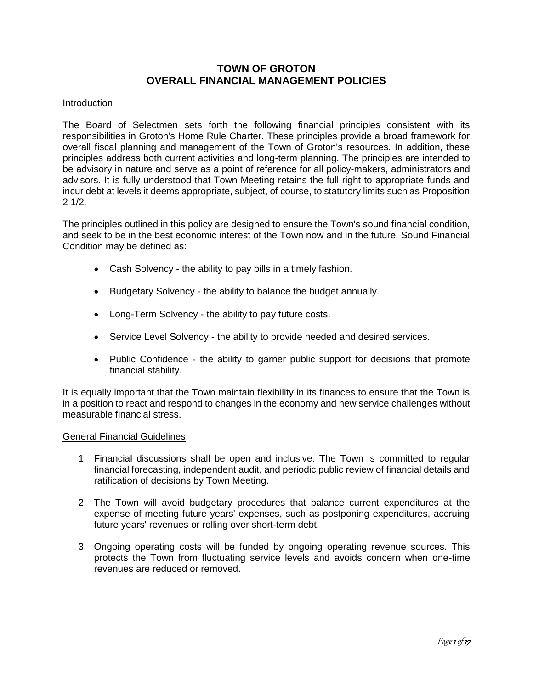# **TOWN OF GROTON OVERALL FINANCIAL MANAGEMENT POLICIES**

# **Introduction**

The Board of Selectmen sets forth the following financial principles consistent with its responsibilities in Groton's Home Rule Charter. These principles provide a broad framework for overall fiscal planning and management of the Town of Groton's resources. In addition, these principles address both current activities and long-term planning. The principles are intended to be advisory in nature and serve as a point of reference for all policy-makers, administrators and advisors. It is fully understood that Town Meeting retains the full right to appropriate funds and incur debt at levels it deems appropriate, subject, of course, to statutory limits such as Proposition 2 1/2.

The principles outlined in this policy are designed to ensure the Town's sound financial condition, and seek to be in the best economic interest of the Town now and in the future. Sound Financial Condition may be defined as:

- Cash Solvency the ability to pay bills in a timely fashion.
- Budgetary Solvency the ability to balance the budget annually.
- Long-Term Solvency the ability to pay future costs.
- Service Level Solvency the ability to provide needed and desired services.
- Public Confidence the ability to garner public support for decisions that promote financial stability.

It is equally important that the Town maintain flexibility in its finances to ensure that the Town is in a position to react and respond to changes in the economy and new service challenges without measurable financial stress.

# General Financial Guidelines

- 1. Financial discussions shall be open and inclusive. The Town is committed to regular financial forecasting, independent audit, and periodic public review of financial details and ratification of decisions by Town Meeting.
- 2. The Town will avoid budgetary procedures that balance current expenditures at the expense of meeting future years' expenses, such as postponing expenditures, accruing future years' revenues or rolling over short-term debt.
- 3. Ongoing operating costs will be funded by ongoing operating revenue sources. This protects the Town from fluctuating service levels and avoids concern when one-time revenues are reduced or removed.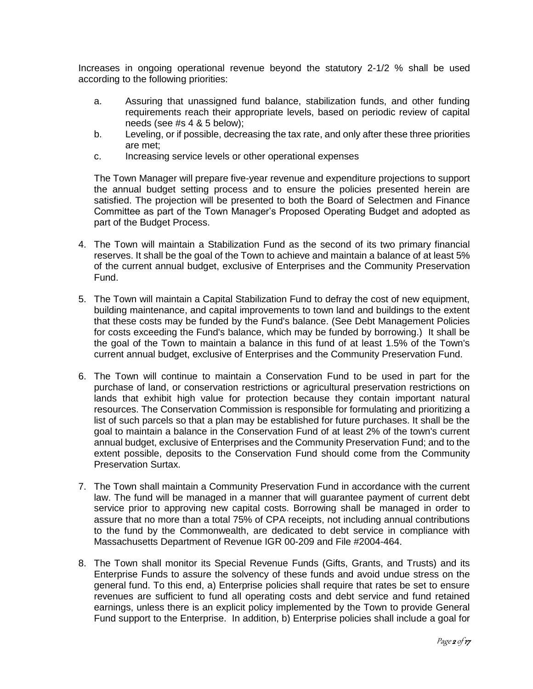Increases in ongoing operational revenue beyond the statutory 2-1/2 % shall be used according to the following priorities:

- a. Assuring that unassigned fund balance, stabilization funds, and other funding requirements reach their appropriate levels, based on periodic review of capital needs (see #s 4 & 5 below);
- b. Leveling, or if possible, decreasing the tax rate, and only after these three priorities are met;
- c. Increasing service levels or other operational expenses

The Town Manager will prepare five-year revenue and expenditure projections to support the annual budget setting process and to ensure the policies presented herein are satisfied. The projection will be presented to both the Board of Selectmen and Finance Committee as part of the Town Manager's Proposed Operating Budget and adopted as part of the Budget Process.

- 4. The Town will maintain a Stabilization Fund as the second of its two primary financial reserves. It shall be the goal of the Town to achieve and maintain a balance of at least 5% of the current annual budget, exclusive of Enterprises and the Community Preservation Fund.
- 5. The Town will maintain a Capital Stabilization Fund to defray the cost of new equipment, building maintenance, and capital improvements to town land and buildings to the extent that these costs may be funded by the Fund's balance. (See Debt Management Policies for costs exceeding the Fund's balance, which may be funded by borrowing.) It shall be the goal of the Town to maintain a balance in this fund of at least 1.5% of the Town's current annual budget, exclusive of Enterprises and the Community Preservation Fund.
- 6. The Town will continue to maintain a Conservation Fund to be used in part for the purchase of land, or conservation restrictions or agricultural preservation restrictions on lands that exhibit high value for protection because they contain important natural resources. The Conservation Commission is responsible for formulating and prioritizing a list of such parcels so that a plan may be established for future purchases. It shall be the goal to maintain a balance in the Conservation Fund of at least 2% of the town's current annual budget, exclusive of Enterprises and the Community Preservation Fund; and to the extent possible, deposits to the Conservation Fund should come from the Community Preservation Surtax.
- 7. The Town shall maintain a Community Preservation Fund in accordance with the current law. The fund will be managed in a manner that will guarantee payment of current debt service prior to approving new capital costs. Borrowing shall be managed in order to assure that no more than a total 75% of CPA receipts, not including annual contributions to the fund by the Commonwealth, are dedicated to debt service in compliance with Massachusetts Department of Revenue IGR 00-209 and File #2004-464.
- 8. The Town shall monitor its Special Revenue Funds (Gifts, Grants, and Trusts) and its Enterprise Funds to assure the solvency of these funds and avoid undue stress on the general fund. To this end, a) Enterprise policies shall require that rates be set to ensure revenues are sufficient to fund all operating costs and debt service and fund retained earnings, unless there is an explicit policy implemented by the Town to provide General Fund support to the Enterprise. In addition, b) Enterprise policies shall include a goal for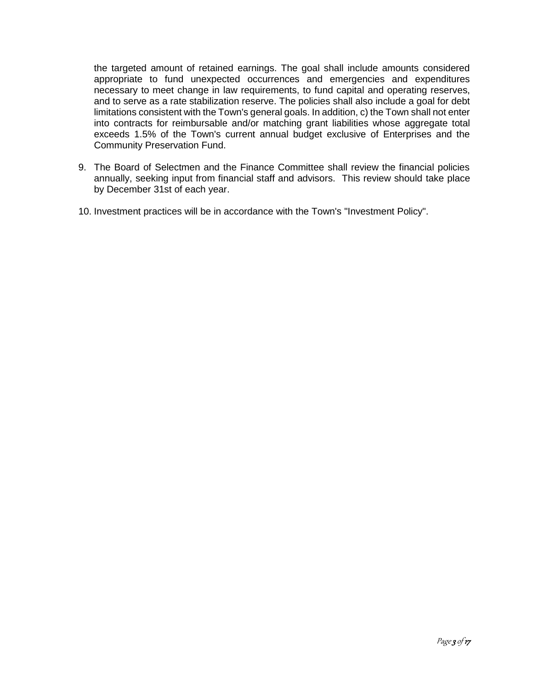the targeted amount of retained earnings. The goal shall include amounts considered appropriate to fund unexpected occurrences and emergencies and expenditures necessary to meet change in law requirements, to fund capital and operating reserves, and to serve as a rate stabilization reserve. The policies shall also include a goal for debt limitations consistent with the Town's general goals. In addition, c) the Town shall not enter into contracts for reimbursable and/or matching grant liabilities whose aggregate total exceeds 1.5% of the Town's current annual budget exclusive of Enterprises and the Community Preservation Fund.

- 9. The Board of Selectmen and the Finance Committee shall review the financial policies annually, seeking input from financial staff and advisors. This review should take place by December 31st of each year.
- 10. Investment practices will be in accordance with the Town's "Investment Policy".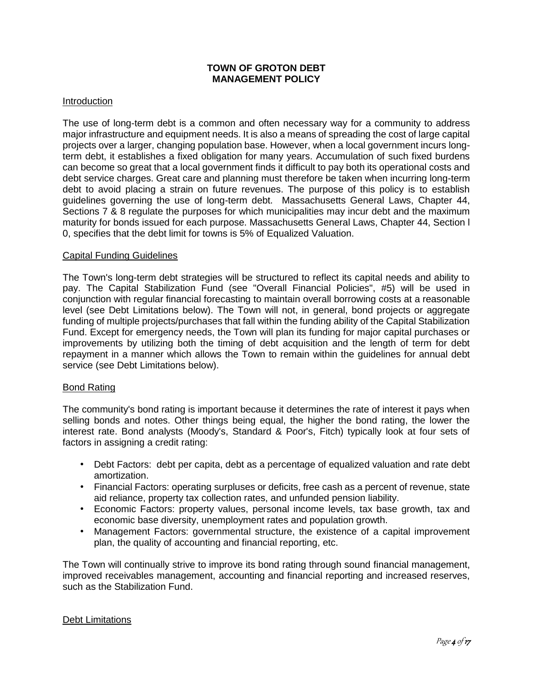# **TOWN OF GROTON DEBT MANAGEMENT POLICY**

# Introduction

The use of long-term debt is a common and often necessary way for a community to address major infrastructure and equipment needs. It is also a means of spreading the cost of large capital projects over a larger, changing population base. However, when a local government incurs longterm debt, it establishes a fixed obligation for many years. Accumulation of such fixed burdens can become so great that a local government finds it difficult to pay both its operational costs and debt service charges. Great care and planning must therefore be taken when incurring long-term debt to avoid placing a strain on future revenues. The purpose of this policy is to establish guidelines governing the use of long-term debt. Massachusetts General Laws, Chapter 44, Sections 7 & 8 regulate the purposes for which municipalities may incur debt and the maximum maturity for bonds issued for each purpose. Massachusetts General Laws, Chapter 44, Section l 0, specifies that the debt limit for towns is 5% of Equalized Valuation.

#### Capital Funding Guidelines

The Town's long-term debt strategies will be structured to reflect its capital needs and ability to pay. The Capital Stabilization Fund (see "Overall Financial Policies", #5) will be used in conjunction with regular financial forecasting to maintain overall borrowing costs at a reasonable level (see Debt Limitations below). The Town will not, in general, bond projects or aggregate funding of multiple projects/purchases that fall within the funding ability of the Capital Stabilization Fund. Except for emergency needs, the Town will plan its funding for major capital purchases or improvements by utilizing both the timing of debt acquisition and the length of term for debt repayment in a manner which allows the Town to remain within the guidelines for annual debt service (see Debt Limitations below).

# Bond Rating

The community's bond rating is important because it determines the rate of interest it pays when selling bonds and notes. Other things being equal, the higher the bond rating, the lower the interest rate. Bond analysts (Moody's, Standard & Poor's, Fitch) typically look at four sets of factors in assigning a credit rating:

- Debt Factors: debt per capita, debt as a percentage of equalized valuation and rate debt amortization.
- Financial Factors: operating surpluses or deficits, free cash as a percent of revenue, state aid reliance, property tax collection rates, and unfunded pension liability.
- Economic Factors: property values, personal income levels, tax base growth, tax and economic base diversity, unemployment rates and population growth.
- Management Factors: governmental structure, the existence of a capital improvement plan, the quality of accounting and financial reporting, etc.

The Town will continually strive to improve its bond rating through sound financial management, improved receivables management, accounting and financial reporting and increased reserves, such as the Stabilization Fund.

# Debt Limitations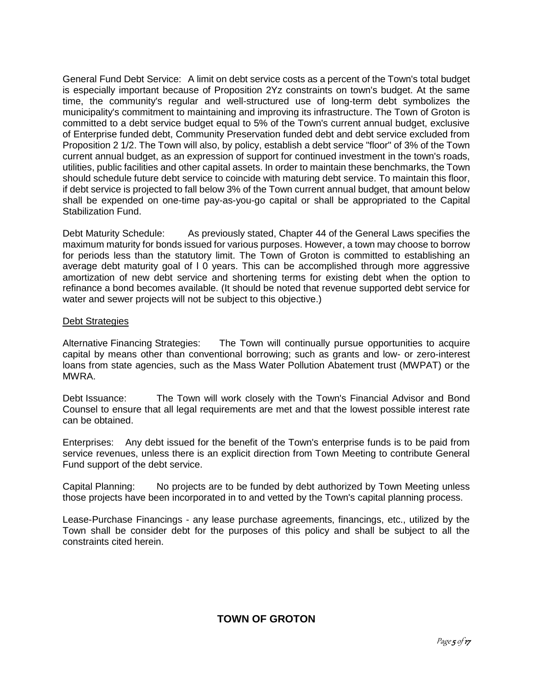General Fund Debt Service: A limit on debt service costs as a percent of the Town's total budget is especially important because of Proposition 2Yz constraints on town's budget. At the same time, the community's regular and well-structured use of long-term debt symbolizes the municipality's commitment to maintaining and improving its infrastructure. The Town of Groton is committed to a debt service budget equal to 5% of the Town's current annual budget, exclusive of Enterprise funded debt, Community Preservation funded debt and debt service excluded from Proposition 2 1/2. The Town will also, by policy, establish a debt service "floor" of 3% of the Town current annual budget, as an expression of support for continued investment in the town's roads, utilities, public facilities and other capital assets. In order to maintain these benchmarks, the Town should schedule future debt service to coincide with maturing debt service. To maintain this floor, if debt service is projected to fall below 3% of the Town current annual budget, that amount below shall be expended on one-time pay-as-you-go capital or shall be appropriated to the Capital Stabilization Fund.

Debt Maturity Schedule: As previously stated, Chapter 44 of the General Laws specifies the maximum maturity for bonds issued for various purposes. However, a town may choose to borrow for periods less than the statutory limit. The Town of Groton is committed to establishing an average debt maturity goal of I 0 years. This can be accomplished through more aggressive amortization of new debt service and shortening terms for existing debt when the option to refinance a bond becomes available. (It should be noted that revenue supported debt service for water and sewer projects will not be subject to this objective.)

# Debt Strategies

Alternative Financing Strategies: The Town will continually pursue opportunities to acquire capital by means other than conventional borrowing; such as grants and low- or zero-interest loans from state agencies, such as the Mass Water Pollution Abatement trust (MWPAT) or the MWRA.

Debt Issuance: The Town will work closely with the Town's Financial Advisor and Bond Counsel to ensure that all legal requirements are met and that the lowest possible interest rate can be obtained.

Enterprises: Any debt issued for the benefit of the Town's enterprise funds is to be paid from service revenues, unless there is an explicit direction from Town Meeting to contribute General Fund support of the debt service.

Capital Planning: No projects are to be funded by debt authorized by Town Meeting unless those projects have been incorporated in to and vetted by the Town's capital planning process.

Lease-Purchase Financings - any lease purchase agreements, financings, etc., utilized by the Town shall be consider debt for the purposes of this policy and shall be subject to all the constraints cited herein.

# **TOWN OF GROTON**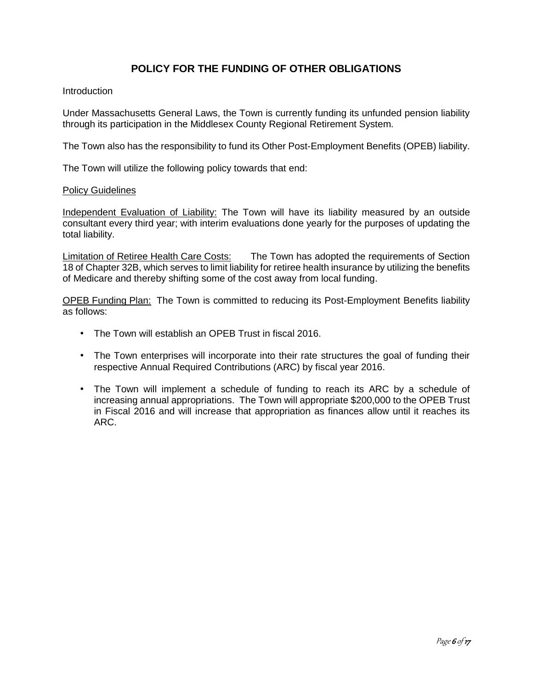# **POLICY FOR THE FUNDING OF OTHER OBLIGATIONS**

# **Introduction**

Under Massachusetts General Laws, the Town is currently funding its unfunded pension liability through its participation in the Middlesex County Regional Retirement System.

The Town also has the responsibility to fund its Other Post-Employment Benefits (OPEB) liability.

The Town will utilize the following policy towards that end:

#### Policy Guidelines

Independent Evaluation of Liability: The Town will have its liability measured by an outside consultant every third year; with interim evaluations done yearly for the purposes of updating the total liability.

Limitation of Retiree Health Care Costs: The Town has adopted the requirements of Section 18 of Chapter 32B, which serves to limit liability for retiree health insurance by utilizing the benefits of Medicare and thereby shifting some of the cost away from local funding.

OPEB Funding Plan: The Town is committed to reducing its Post-Employment Benefits liability as follows:

- The Town will establish an OPEB Trust in fiscal 2016.
- The Town enterprises will incorporate into their rate structures the goal of funding their respective Annual Required Contributions (ARC) by fiscal year 2016.
- The Town will implement a schedule of funding to reach its ARC by a schedule of increasing annual appropriations. The Town will appropriate \$200,000 to the OPEB Trust in Fiscal 2016 and will increase that appropriation as finances allow until it reaches its ARC.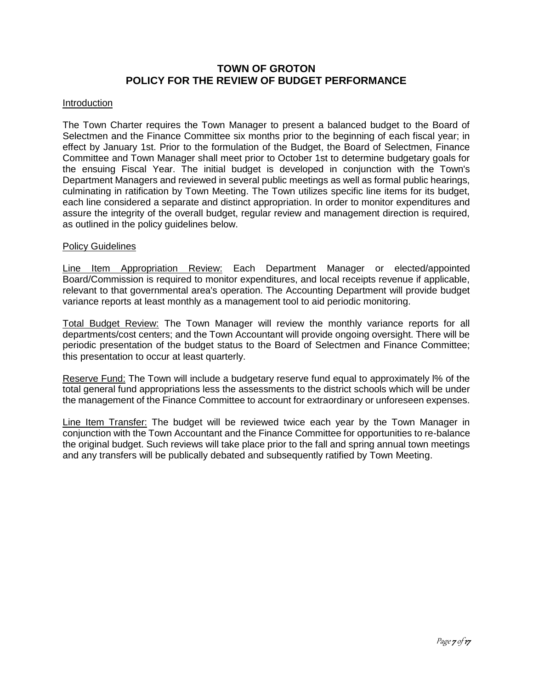# **TOWN OF GROTON POLICY FOR THE REVIEW OF BUDGET PERFORMANCE**

# Introduction

The Town Charter requires the Town Manager to present a balanced budget to the Board of Selectmen and the Finance Committee six months prior to the beginning of each fiscal year; in effect by January 1st. Prior to the formulation of the Budget, the Board of Selectmen, Finance Committee and Town Manager shall meet prior to October 1st to determine budgetary goals for the ensuing Fiscal Year. The initial budget is developed in conjunction with the Town's Department Managers and reviewed in several public meetings as well as formal public hearings, culminating in ratification by Town Meeting. The Town utilizes specific line items for its budget, each line considered a separate and distinct appropriation. In order to monitor expenditures and assure the integrity of the overall budget, regular review and management direction is required, as outlined in the policy guidelines below.

# Policy Guidelines

Line Item Appropriation Review: Each Department Manager or elected/appointed Board/Commission is required to monitor expenditures, and local receipts revenue if applicable, relevant to that governmental area's operation. The Accounting Department will provide budget variance reports at least monthly as a management tool to aid periodic monitoring.

Total Budget Review: The Town Manager will review the monthly variance reports for all departments/cost centers; and the Town Accountant will provide ongoing oversight. There will be periodic presentation of the budget status to the Board of Selectmen and Finance Committee; this presentation to occur at least quarterly.

Reserve Fund: The Town will include a budgetary reserve fund equal to approximately l% of the total general fund appropriations less the assessments to the district schools which will be under the management of the Finance Committee to account for extraordinary or unforeseen expenses.

Line Item Transfer: The budget will be reviewed twice each year by the Town Manager in conjunction with the Town Accountant and the Finance Committee for opportunities to re-balance the original budget. Such reviews will take place prior to the fall and spring annual town meetings and any transfers will be publically debated and subsequently ratified by Town Meeting.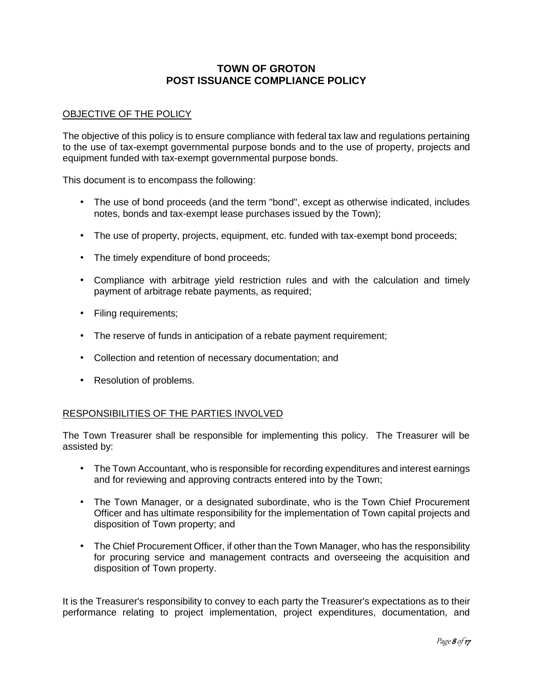# **TOWN OF GROTON POST ISSUANCE COMPLIANCE POLICY**

# OBJECTIVE OF THE POLICY

The objective of this policy is to ensure compliance with federal tax law and regulations pertaining to the use of tax-exempt governmental purpose bonds and to the use of property, projects and equipment funded with tax-exempt governmental purpose bonds.

This document is to encompass the following:

- The use of bond proceeds (and the term "bond", except as otherwise indicated, includes notes, bonds and tax-exempt lease purchases issued by the Town);
- The use of property, projects, equipment, etc. funded with tax-exempt bond proceeds;
- The timely expenditure of bond proceeds;
- Compliance with arbitrage yield restriction rules and with the calculation and timely payment of arbitrage rebate payments, as required;
- Filing requirements;
- The reserve of funds in anticipation of a rebate payment requirement;
- Collection and retention of necessary documentation; and
- Resolution of problems.

# RESPONSIBILITIES OF THE PARTIES INVOLVED

The Town Treasurer shall be responsible for implementing this policy. The Treasurer will be assisted by:

- The Town Accountant, who is responsible for recording expenditures and interest earnings and for reviewing and approving contracts entered into by the Town;
- The Town Manager, or a designated subordinate, who is the Town Chief Procurement Officer and has ultimate responsibility for the implementation of Town capital projects and disposition of Town property; and
- The Chief Procurement Officer, if other than the Town Manager, who has the responsibility for procuring service and management contracts and overseeing the acquisition and disposition of Town property.

It is the Treasurer's responsibility to convey to each party the Treasurer's expectations as to their performance relating to project implementation, project expenditures, documentation, and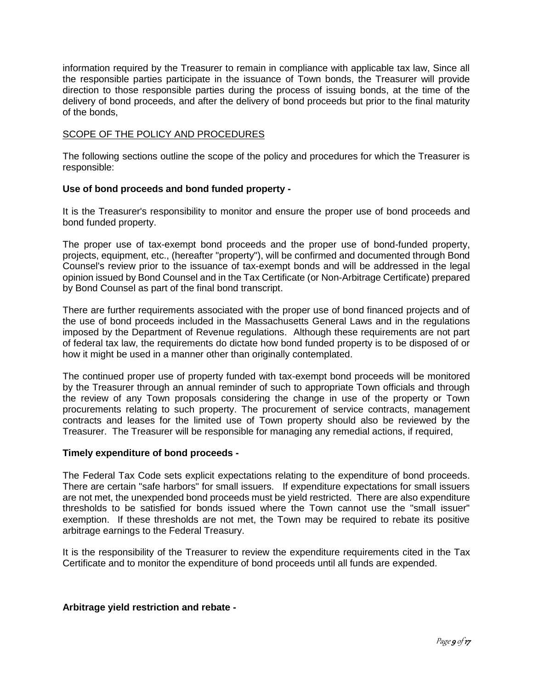information required by the Treasurer to remain in compliance with applicable tax law, Since all the responsible parties participate in the issuance of Town bonds, the Treasurer will provide direction to those responsible parties during the process of issuing bonds, at the time of the delivery of bond proceeds, and after the delivery of bond proceeds but prior to the final maturity of the bonds,

# SCOPE OF THE POLICY AND PROCEDURES

The following sections outline the scope of the policy and procedures for which the Treasurer is responsible:

# **Use of bond proceeds and bond funded property -**

It is the Treasurer's responsibility to monitor and ensure the proper use of bond proceeds and bond funded property.

The proper use of tax-exempt bond proceeds and the proper use of bond-funded property, projects, equipment, etc., (hereafter "property"), will be confirmed and documented through Bond Counsel's review prior to the issuance of tax-exempt bonds and will be addressed in the legal opinion issued by Bond Counsel and in the Tax Certificate (or Non-Arbitrage Certificate) prepared by Bond Counsel as part of the final bond transcript.

There are further requirements associated with the proper use of bond financed projects and of the use of bond proceeds included in the Massachusetts General Laws and in the regulations imposed by the Department of Revenue regulations. Although these requirements are not part of federal tax law, the requirements do dictate how bond funded property is to be disposed of or how it might be used in a manner other than originally contemplated.

The continued proper use of property funded with tax-exempt bond proceeds will be monitored by the Treasurer through an annual reminder of such to appropriate Town officials and through the review of any Town proposals considering the change in use of the property or Town procurements relating to such property. The procurement of service contracts, management contracts and leases for the limited use of Town property should also be reviewed by the Treasurer. The Treasurer will be responsible for managing any remedial actions, if required,

# **Timely expenditure of bond proceeds -**

The Federal Tax Code sets explicit expectations relating to the expenditure of bond proceeds. There are certain "safe harbors" for small issuers. If expenditure expectations for small issuers are not met, the unexpended bond proceeds must be yield restricted. There are also expenditure thresholds to be satisfied for bonds issued where the Town cannot use the "small issuer" exemption. If these thresholds are not met, the Town may be required to rebate its positive arbitrage earnings to the Federal Treasury.

It is the responsibility of the Treasurer to review the expenditure requirements cited in the Tax Certificate and to monitor the expenditure of bond proceeds until all funds are expended.

# **Arbitrage yield restriction and rebate -**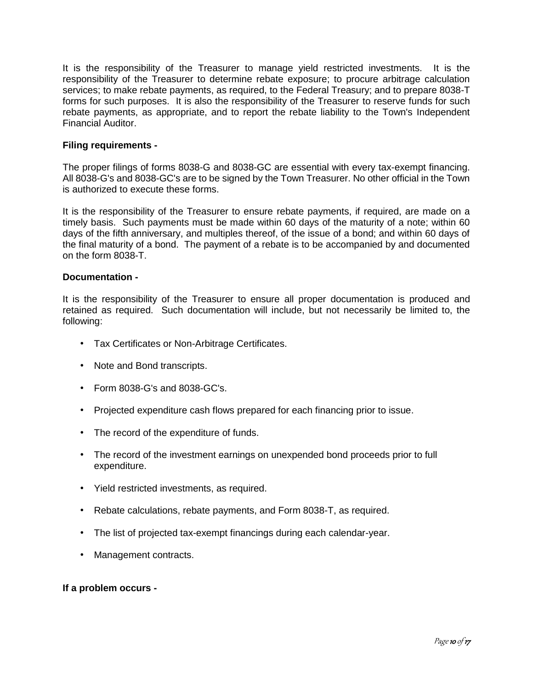It is the responsibility of the Treasurer to manage yield restricted investments. It is the responsibility of the Treasurer to determine rebate exposure; to procure arbitrage calculation services; to make rebate payments, as required, to the Federal Treasury; and to prepare 8038-T forms for such purposes. It is also the responsibility of the Treasurer to reserve funds for such rebate payments, as appropriate, and to report the rebate liability to the Town's Independent Financial Auditor.

# **Filing requirements -**

The proper filings of forms 8038-G and 8038-GC are essential with every tax-exempt financing. All 8038-G's and 8038-GC's are to be signed by the Town Treasurer. No other official in the Town is authorized to execute these forms.

It is the responsibility of the Treasurer to ensure rebate payments, if required, are made on a timely basis. Such payments must be made within 60 days of the maturity of a note; within 60 days of the fifth anniversary, and multiples thereof, of the issue of a bond; and within 60 days of the final maturity of a bond. The payment of a rebate is to be accompanied by and documented on the form 8038-T.

# **Documentation -**

It is the responsibility of the Treasurer to ensure all proper documentation is produced and retained as required. Such documentation will include, but not necessarily be limited to, the following:

- Tax Certificates or Non-Arbitrage Certificates.
- Note and Bond transcripts.
- Form 8038-G's and 8038-GC's.
- Projected expenditure cash flows prepared for each financing prior to issue.
- The record of the expenditure of funds.
- The record of the investment earnings on unexpended bond proceeds prior to full expenditure.
- Yield restricted investments, as required.
- Rebate calculations, rebate payments, and Form 8038-T, as required.
- The list of projected tax-exempt financings during each calendar-year.
- Management contracts.

# **If a problem occurs -**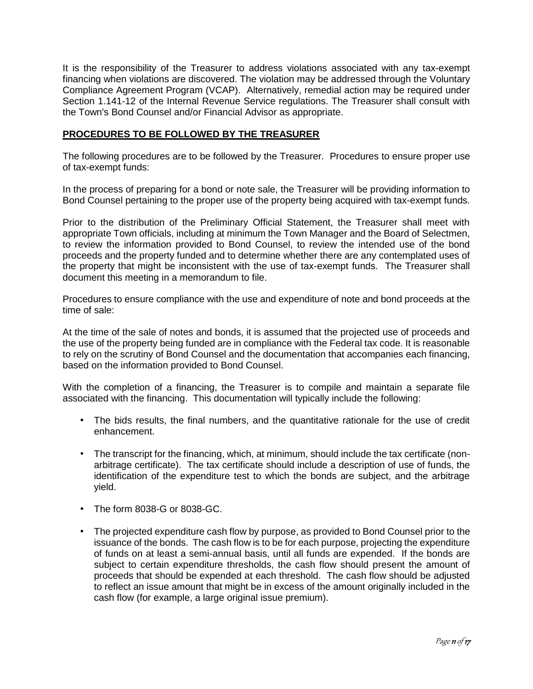It is the responsibility of the Treasurer to address violations associated with any tax-exempt financing when violations are discovered. The violation may be addressed through the Voluntary Compliance Agreement Program (VCAP). Alternatively, remedial action may be required under Section 1.141-12 of the Internal Revenue Service regulations. The Treasurer shall consult with the Town's Bond Counsel and/or Financial Advisor as appropriate.

# **PROCEDURES TO BE FOLLOWED BY THE TREASURER**

The following procedures are to be followed by the Treasurer. Procedures to ensure proper use of tax-exempt funds:

In the process of preparing for a bond or note sale, the Treasurer will be providing information to Bond Counsel pertaining to the proper use of the property being acquired with tax-exempt funds.

Prior to the distribution of the Preliminary Official Statement, the Treasurer shall meet with appropriate Town officials, including at minimum the Town Manager and the Board of Selectmen, to review the information provided to Bond Counsel, to review the intended use of the bond proceeds and the property funded and to determine whether there are any contemplated uses of the property that might be inconsistent with the use of tax-exempt funds. The Treasurer shall document this meeting in a memorandum to file.

Procedures to ensure compliance with the use and expenditure of note and bond proceeds at the time of sale:

At the time of the sale of notes and bonds, it is assumed that the projected use of proceeds and the use of the property being funded are in compliance with the Federal tax code. It is reasonable to rely on the scrutiny of Bond Counsel and the documentation that accompanies each financing, based on the information provided to Bond Counsel.

With the completion of a financing, the Treasurer is to compile and maintain a separate file associated with the financing. This documentation will typically include the following:

- The bids results, the final numbers, and the quantitative rationale for the use of credit enhancement.
- The transcript for the financing, which, at minimum, should include the tax certificate (nonarbitrage certificate). The tax certificate should include a description of use of funds, the identification of the expenditure test to which the bonds are subject, and the arbitrage yield.
- The form 8038-G or 8038-GC.
- The projected expenditure cash flow by purpose, as provided to Bond Counsel prior to the issuance of the bonds. The cash flow is to be for each purpose, projecting the expenditure of funds on at least a semi-annual basis, until all funds are expended. If the bonds are subject to certain expenditure thresholds, the cash flow should present the amount of proceeds that should be expended at each threshold. The cash flow should be adjusted to reflect an issue amount that might be in excess of the amount originally included in the cash flow (for example, a large original issue premium).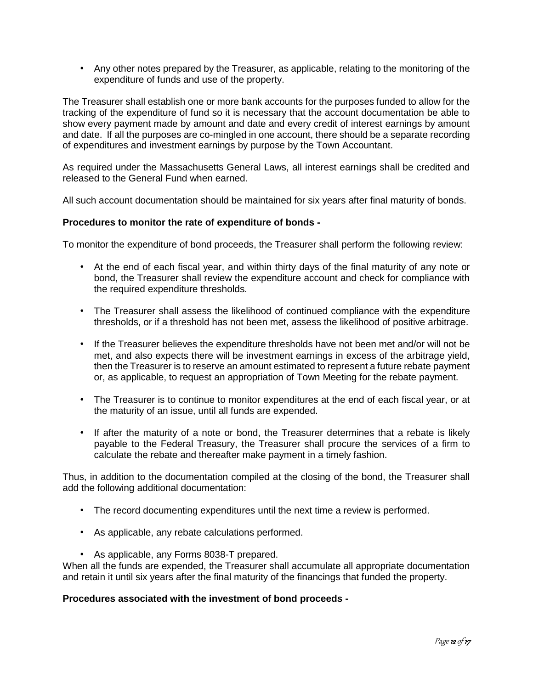• Any other notes prepared by the Treasurer, as applicable, relating to the monitoring of the expenditure of funds and use of the property.

The Treasurer shall establish one or more bank accounts for the purposes funded to allow for the tracking of the expenditure of fund so it is necessary that the account documentation be able to show every payment made by amount and date and every credit of interest earnings by amount and date. If all the purposes are co-mingled in one account, there should be a separate recording of expenditures and investment earnings by purpose by the Town Accountant.

As required under the Massachusetts General Laws, all interest earnings shall be credited and released to the General Fund when earned.

All such account documentation should be maintained for six years after final maturity of bonds.

# **Procedures to monitor the rate of expenditure of bonds -**

To monitor the expenditure of bond proceeds, the Treasurer shall perform the following review:

- At the end of each fiscal year, and within thirty days of the final maturity of any note or bond, the Treasurer shall review the expenditure account and check for compliance with the required expenditure thresholds.
- The Treasurer shall assess the likelihood of continued compliance with the expenditure thresholds, or if a threshold has not been met, assess the likelihood of positive arbitrage.
- If the Treasurer believes the expenditure thresholds have not been met and/or will not be met, and also expects there will be investment earnings in excess of the arbitrage yield, then the Treasurer is to reserve an amount estimated to represent a future rebate payment or, as applicable, to request an appropriation of Town Meeting for the rebate payment.
- The Treasurer is to continue to monitor expenditures at the end of each fiscal year, or at the maturity of an issue, until all funds are expended.
- If after the maturity of a note or bond, the Treasurer determines that a rebate is likely payable to the Federal Treasury, the Treasurer shall procure the services of a firm to calculate the rebate and thereafter make payment in a timely fashion.

Thus, in addition to the documentation compiled at the closing of the bond, the Treasurer shall add the following additional documentation:

- The record documenting expenditures until the next time a review is performed.
- As applicable, any rebate calculations performed.
- As applicable, any Forms 8038-T prepared.

When all the funds are expended, the Treasurer shall accumulate all appropriate documentation and retain it until six years after the final maturity of the financings that funded the property.

# **Procedures associated with the investment of bond proceeds -**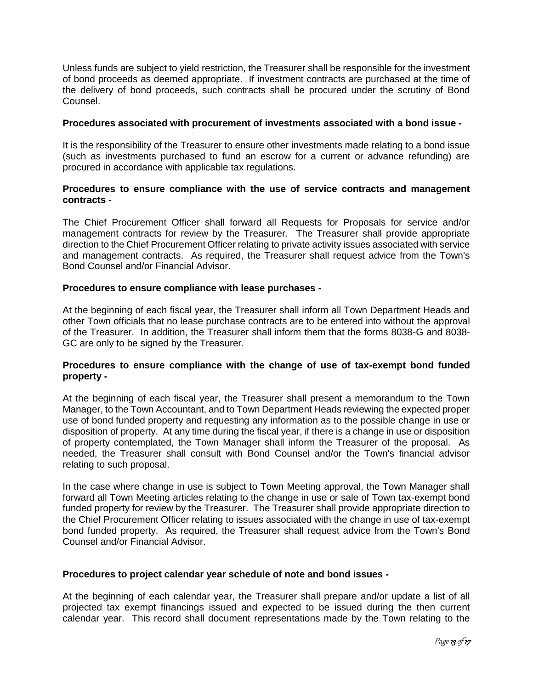Unless funds are subject to yield restriction, the Treasurer shall be responsible for the investment of bond proceeds as deemed appropriate. If investment contracts are purchased at the time of the delivery of bond proceeds, such contracts shall be procured under the scrutiny of Bond Counsel.

#### **Procedures associated with procurement of investments associated with a bond issue -**

It is the responsibility of the Treasurer to ensure other investments made relating to a bond issue (such as investments purchased to fund an escrow for a current or advance refunding) are procured in accordance with applicable tax regulations.

# **Procedures to ensure compliance with the use of service contracts and management contracts -**

The Chief Procurement Officer shall forward all Requests for Proposals for service and/or management contracts for review by the Treasurer. The Treasurer shall provide appropriate direction to the Chief Procurement Officer relating to private activity issues associated with service and management contracts. As required, the Treasurer shall request advice from the Town's Bond Counsel and/or Financial Advisor.

# **Procedures to ensure compliance with lease purchases -**

At the beginning of each fiscal year, the Treasurer shall inform all Town Department Heads and other Town officials that no lease purchase contracts are to be entered into without the approval of the Treasurer. In addition, the Treasurer shall inform them that the forms 8038-G and 8038- GC are only to be signed by the Treasurer.

# **Procedures to ensure compliance with the change of use of tax-exempt bond funded property -**

At the beginning of each fiscal year, the Treasurer shall present a memorandum to the Town Manager, to the Town Accountant, and to Town Department Heads reviewing the expected proper use of bond funded property and requesting any information as to the possible change in use or disposition of property. At any time during the fiscal year, if there is a change in use or disposition of property contemplated, the Town Manager shall inform the Treasurer of the proposal. As needed, the Treasurer shall consult with Bond Counsel and/or the Town's financial advisor relating to such proposal.

In the case where change in use is subject to Town Meeting approval, the Town Manager shall forward all Town Meeting articles relating to the change in use or sale of Town tax-exempt bond funded property for review by the Treasurer. The Treasurer shall provide appropriate direction to the Chief Procurement Officer relating to issues associated with the change in use of tax-exempt bond funded property. As required, the Treasurer shall request advice from the Town's Bond Counsel and/or Financial Advisor.

# **Procedures to project calendar year schedule of note and bond issues -**

At the beginning of each calendar year, the Treasurer shall prepare and/or update a list of all projected tax exempt financings issued and expected to be issued during the then current calendar year. This record shall document representations made by the Town relating to the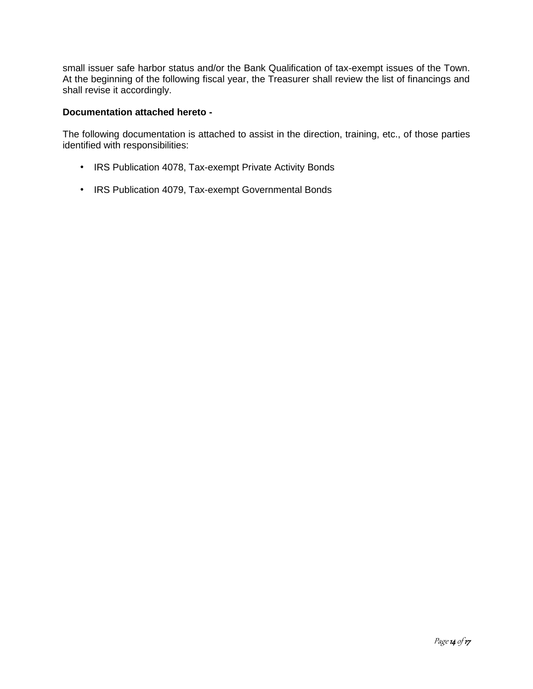small issuer safe harbor status and/or the Bank Qualification of tax-exempt issues of the Town. At the beginning of the following fiscal year, the Treasurer shall review the list of financings and shall revise it accordingly.

# **Documentation attached hereto -**

The following documentation is attached to assist in the direction, training, etc., of those parties identified with responsibilities:

- IRS Publication 4078, Tax-exempt Private Activity Bonds
- IRS Publication 4079, Tax-exempt Governmental Bonds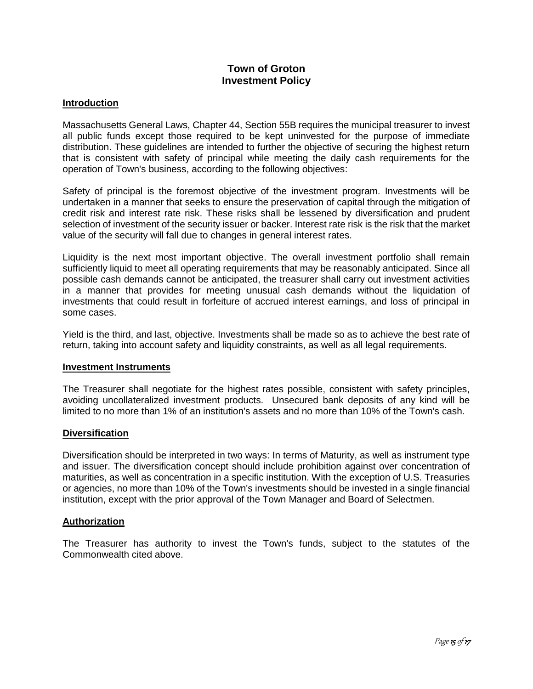# **Town of Groton Investment Policy**

# **Introduction**

Massachusetts General Laws, Chapter 44, Section 55B requires the municipal treasurer to invest all public funds except those required to be kept uninvested for the purpose of immediate distribution. These guidelines are intended to further the objective of securing the highest return that is consistent with safety of principal while meeting the daily cash requirements for the operation of Town's business, according to the following objectives:

Safety of principal is the foremost objective of the investment program. Investments will be undertaken in a manner that seeks to ensure the preservation of capital through the mitigation of credit risk and interest rate risk. These risks shall be lessened by diversification and prudent selection of investment of the security issuer or backer. Interest rate risk is the risk that the market value of the security will fall due to changes in general interest rates.

Liquidity is the next most important objective. The overall investment portfolio shall remain sufficiently liquid to meet all operating requirements that may be reasonably anticipated. Since all possible cash demands cannot be anticipated, the treasurer shall carry out investment activities in a manner that provides for meeting unusual cash demands without the liquidation of investments that could result in forfeiture of accrued interest earnings, and loss of principal in some cases.

Yield is the third, and last, objective. Investments shall be made so as to achieve the best rate of return, taking into account safety and liquidity constraints, as well as all legal requirements.

# **Investment Instruments**

The Treasurer shall negotiate for the highest rates possible, consistent with safety principles, avoiding uncollateralized investment products. Unsecured bank deposits of any kind will be limited to no more than 1% of an institution's assets and no more than 10% of the Town's cash.

# **Diversification**

Diversification should be interpreted in two ways: In terms of Maturity, as well as instrument type and issuer. The diversification concept should include prohibition against over concentration of maturities, as well as concentration in a specific institution. With the exception of U.S. Treasuries or agencies, no more than 10% of the Town's investments should be invested in a single financial institution, except with the prior approval of the Town Manager and Board of Selectmen.

# **Authorization**

The Treasurer has authority to invest the Town's funds, subject to the statutes of the Commonwealth cited above.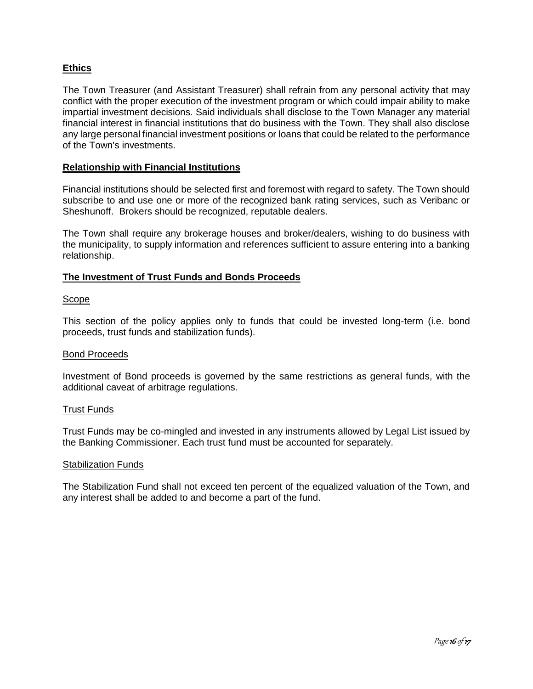# **Ethics**

The Town Treasurer (and Assistant Treasurer) shall refrain from any personal activity that may conflict with the proper execution of the investment program or which could impair ability to make impartial investment decisions. Said individuals shall disclose to the Town Manager any material financial interest in financial institutions that do business with the Town. They shall also disclose any large personal financial investment positions or loans that could be related to the performance of the Town's investments.

# **Relationship with Financial Institutions**

Financial institutions should be selected first and foremost with regard to safety. The Town should subscribe to and use one or more of the recognized bank rating services, such as Veribanc or Sheshunoff. Brokers should be recognized, reputable dealers.

The Town shall require any brokerage houses and broker/dealers, wishing to do business with the municipality, to supply information and references sufficient to assure entering into a banking relationship.

# **The Investment of Trust Funds and Bonds Proceeds**

# Scope

This section of the policy applies only to funds that could be invested long-term (i.e. bond proceeds, trust funds and stabilization funds).

# Bond Proceeds

Investment of Bond proceeds is governed by the same restrictions as general funds, with the additional caveat of arbitrage regulations.

# Trust Funds

Trust Funds may be co-mingled and invested in any instruments allowed by Legal List issued by the Banking Commissioner. Each trust fund must be accounted for separately.

#### Stabilization Funds

The Stabilization Fund shall not exceed ten percent of the equalized valuation of the Town, and any interest shall be added to and become a part of the fund.